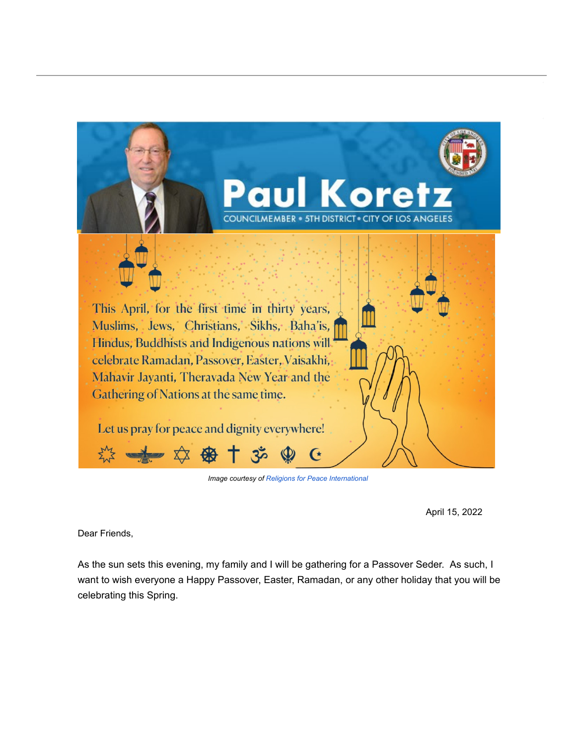

**Image courtesy of Religions for Peace International** 

April 15, 2022

Dear Friends,

As the sun sets this evening, my family and I will be gathering for a Passover Seder. As such, I want to wish everyone a Happy Passover, Easter, Ramadan, or any other holiday that you will be celebrating this Spring.